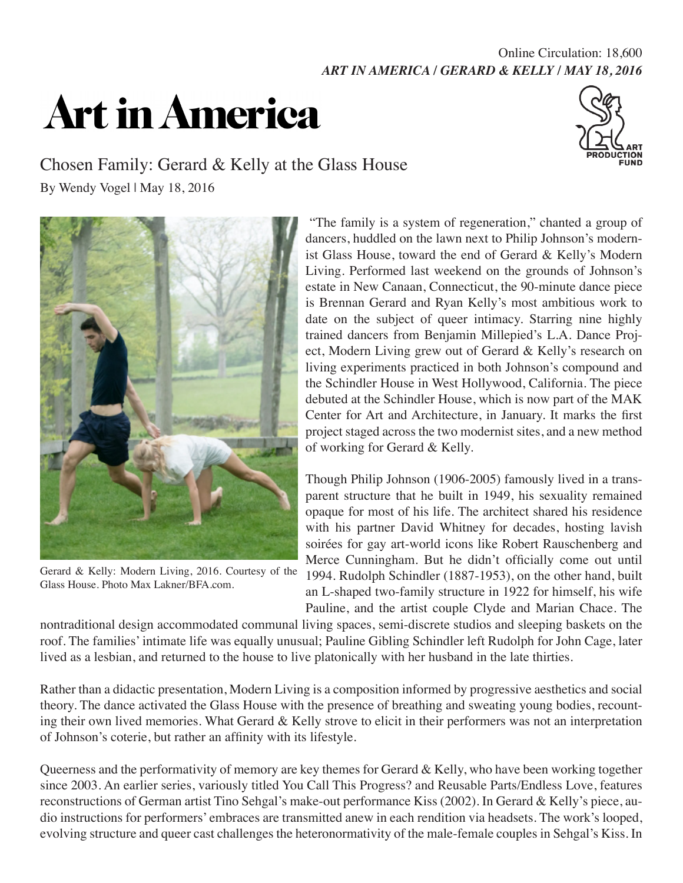## *ART IN AMERICA / GERARD & KELLY / MAY 18, 2016* Online Circulation: 18,600

## **Art in America**



## Chosen Family: Gerard & Kelly at the Glass House

By Wendy Vogel | May 18, 2016



Gerard & Kelly: Modern Living, 2016. Courtesy of the Glass House. Photo Max Lakner/BFA.com.

 "The family is a system of regeneration," chanted a group of dancers, huddled on the lawn next to Philip Johnson's modernist Glass House, toward the end of Gerard & Kelly's Modern Living. Performed last weekend on the grounds of Johnson's estate in New Canaan, Connecticut, the 90-minute dance piece is Brennan Gerard and Ryan Kelly's most ambitious work to date on the subject of queer intimacy. Starring nine highly trained dancers from Benjamin Millepied's L.A. Dance Project, Modern Living grew out of Gerard & Kelly's research on living experiments practiced in both Johnson's compound and the Schindler House in West Hollywood, California. The piece debuted at the Schindler House, which is now part of the MAK Center for Art and Architecture, in January. It marks the first project staged across the two modernist sites, and a new method of working for Gerard & Kelly.

Though Philip Johnson (1906-2005) famously lived in a transparent structure that he built in 1949, his sexuality remained opaque for most of his life. The architect shared his residence with his partner David Whitney for decades, hosting lavish soirées for gay art-world icons like Robert Rauschenberg and Merce Cunningham. But he didn't officially come out until 1994. Rudolph Schindler (1887-1953), on the other hand, built an L-shaped two-family structure in 1922 for himself, his wife Pauline, and the artist couple Clyde and Marian Chace. The

nontraditional design accommodated communal living spaces, semi-discrete studios and sleeping baskets on the roof. The families' intimate life was equally unusual; Pauline Gibling Schindler left Rudolph for John Cage, later lived as a lesbian, and returned to the house to live platonically with her husband in the late thirties.

Rather than a didactic presentation, Modern Living is a composition informed by progressive aesthetics and social theory. The dance activated the Glass House with the presence of breathing and sweating young bodies, recounting their own lived memories. What Gerard & Kelly strove to elicit in their performers was not an interpretation of Johnson's coterie, but rather an affinity with its lifestyle.

Queerness and the performativity of memory are key themes for Gerard & Kelly, who have been working together since 2003. An earlier series, variously titled You Call This Progress? and Reusable Parts/Endless Love, features reconstructions of German artist Tino Sehgal's make-out performance Kiss (2002). In Gerard & Kelly's piece, audio instructions for performers' embraces are transmitted anew in each rendition via headsets. The work's looped, evolving structure and queer cast challenges the heteronormativity of the male-female couples in Sehgal's Kiss. In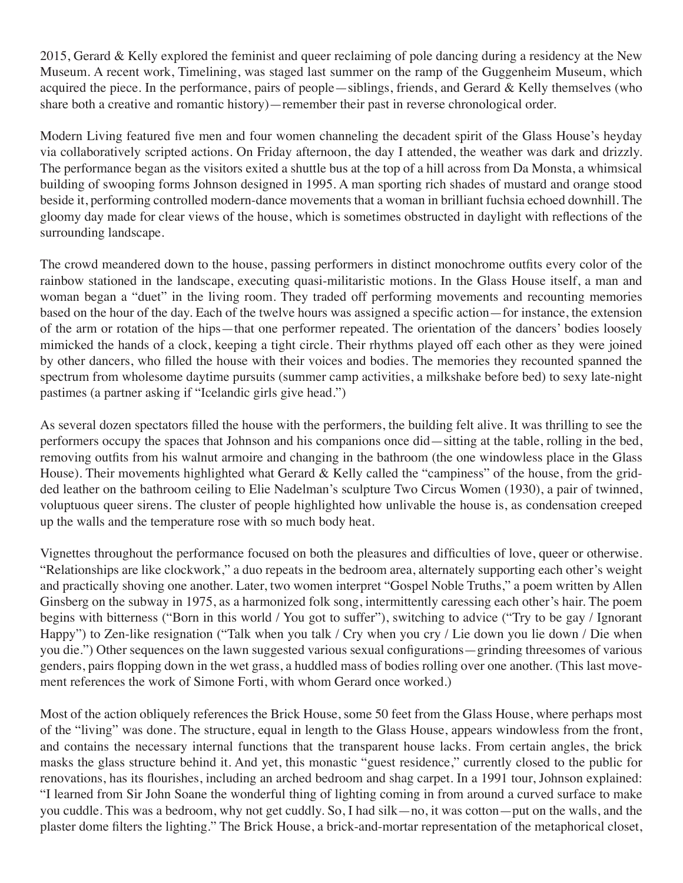2015, Gerard & Kelly explored the feminist and queer reclaiming of pole dancing during a residency at the New Museum. A recent work, Timelining, was staged last summer on the ramp of the Guggenheim Museum, which acquired the piece. In the performance, pairs of people—siblings, friends, and Gerard & Kelly themselves (who share both a creative and romantic history)—remember their past in reverse chronological order.

Modern Living featured five men and four women channeling the decadent spirit of the Glass House's heyday via collaboratively scripted actions. On Friday afternoon, the day I attended, the weather was dark and drizzly. The performance began as the visitors exited a shuttle bus at the top of a hill across from Da Monsta, a whimsical building of swooping forms Johnson designed in 1995. A man sporting rich shades of mustard and orange stood beside it, performing controlled modern-dance movements that a woman in brilliant fuchsia echoed downhill. The gloomy day made for clear views of the house, which is sometimes obstructed in daylight with reflections of the surrounding landscape.

The crowd meandered down to the house, passing performers in distinct monochrome outfits every color of the rainbow stationed in the landscape, executing quasi-militaristic motions. In the Glass House itself, a man and woman began a "duet" in the living room. They traded off performing movements and recounting memories based on the hour of the day. Each of the twelve hours was assigned a specific action—for instance, the extension of the arm or rotation of the hips—that one performer repeated. The orientation of the dancers' bodies loosely mimicked the hands of a clock, keeping a tight circle. Their rhythms played off each other as they were joined by other dancers, who filled the house with their voices and bodies. The memories they recounted spanned the spectrum from wholesome daytime pursuits (summer camp activities, a milkshake before bed) to sexy late-night pastimes (a partner asking if "Icelandic girls give head.")

As several dozen spectators filled the house with the performers, the building felt alive. It was thrilling to see the performers occupy the spaces that Johnson and his companions once did—sitting at the table, rolling in the bed, removing outfits from his walnut armoire and changing in the bathroom (the one windowless place in the Glass House). Their movements highlighted what Gerard & Kelly called the "campiness" of the house, from the gridded leather on the bathroom ceiling to Elie Nadelman's sculpture Two Circus Women (1930), a pair of twinned, voluptuous queer sirens. The cluster of people highlighted how unlivable the house is, as condensation creeped up the walls and the temperature rose with so much body heat.

Vignettes throughout the performance focused on both the pleasures and difficulties of love, queer or otherwise. "Relationships are like clockwork," a duo repeats in the bedroom area, alternately supporting each other's weight and practically shoving one another. Later, two women interpret "Gospel Noble Truths," a poem written by Allen Ginsberg on the subway in 1975, as a harmonized folk song, intermittently caressing each other's hair. The poem begins with bitterness ("Born in this world / You got to suffer"), switching to advice ("Try to be gay / Ignorant Happy") to Zen-like resignation ("Talk when you talk / Cry when you cry / Lie down you lie down / Die when you die.") Other sequences on the lawn suggested various sexual configurations—grinding threesomes of various genders, pairs flopping down in the wet grass, a huddled mass of bodies rolling over one another. (This last movement references the work of Simone Forti, with whom Gerard once worked.)

Most of the action obliquely references the Brick House, some 50 feet from the Glass House, where perhaps most of the "living" was done. The structure, equal in length to the Glass House, appears windowless from the front, and contains the necessary internal functions that the transparent house lacks. From certain angles, the brick masks the glass structure behind it. And yet, this monastic "guest residence," currently closed to the public for renovations, has its flourishes, including an arched bedroom and shag carpet. In a 1991 tour, Johnson explained: "I learned from Sir John Soane the wonderful thing of lighting coming in from around a curved surface to make you cuddle. This was a bedroom, why not get cuddly. So, I had silk—no, it was cotton—put on the walls, and the plaster dome filters the lighting." The Brick House, a brick-and-mortar representation of the metaphorical closet,